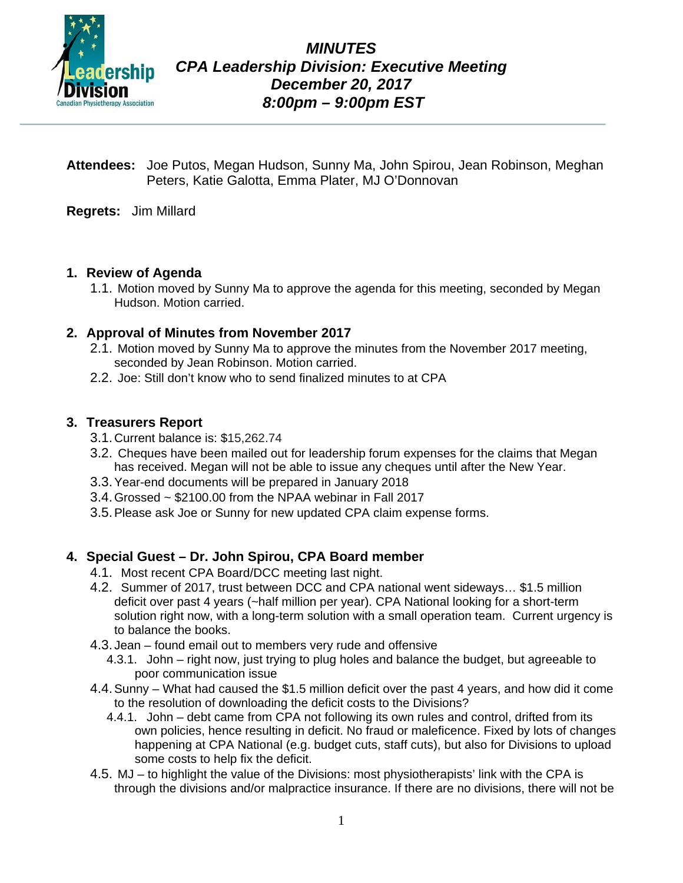

*MINUTES CPA Leadership Division: Executive Meeting December 20, 2017 8:00pm – 9:00pm EST*

- **Attendees:** Joe Putos, Megan Hudson, Sunny Ma, John Spirou, Jean Robinson, Meghan Peters, Katie Galotta, Emma Plater, MJ O'Donnovan
- **Regrets:** Jim Millard

#### **1. Review of Agenda**

1.1. Motion moved by Sunny Ma to approve the agenda for this meeting, seconded by Megan Hudson. Motion carried.

# **2. Approval of Minutes from November 2017**

- 2.1. Motion moved by Sunny Ma to approve the minutes from the November 2017 meeting, seconded by Jean Robinson. Motion carried.
- 2.2. Joe: Still don't know who to send finalized minutes to at CPA

# **3. Treasurers Report**

- 3.1.Current balance is: \$15,262.74
- 3.2. Cheques have been mailed out for leadership forum expenses for the claims that Megan has received. Megan will not be able to issue any cheques until after the New Year.
- 3.3.Year-end documents will be prepared in January 2018
- 3.4. Grossed  $\sim$  \$2100.00 from the NPAA webinar in Fall 2017
- 3.5.Please ask Joe or Sunny for new updated CPA claim expense forms.

#### **4. Special Guest – Dr. John Spirou, CPA Board member**

- 4.1. Most recent CPA Board/DCC meeting last night.
- 4.2. Summer of 2017, trust between DCC and CPA national went sideways… \$1.5 million deficit over past 4 years (~half million per year). CPA National looking for a short-term solution right now, with a long-term solution with a small operation team. Current urgency is to balance the books.
- 4.3. Jean found email out to members very rude and offensive
	- 4.3.1. John right now, just trying to plug holes and balance the budget, but agreeable to poor communication issue
- 4.4.Sunny What had caused the \$1.5 million deficit over the past 4 years, and how did it come to the resolution of downloading the deficit costs to the Divisions?
	- 4.4.1. John debt came from CPA not following its own rules and control, drifted from its own policies, hence resulting in deficit. No fraud or maleficence. Fixed by lots of changes happening at CPA National (e.g. budget cuts, staff cuts), but also for Divisions to upload some costs to help fix the deficit.
- 4.5. MJ to highlight the value of the Divisions: most physiotherapists' link with the CPA is through the divisions and/or malpractice insurance. If there are no divisions, there will not be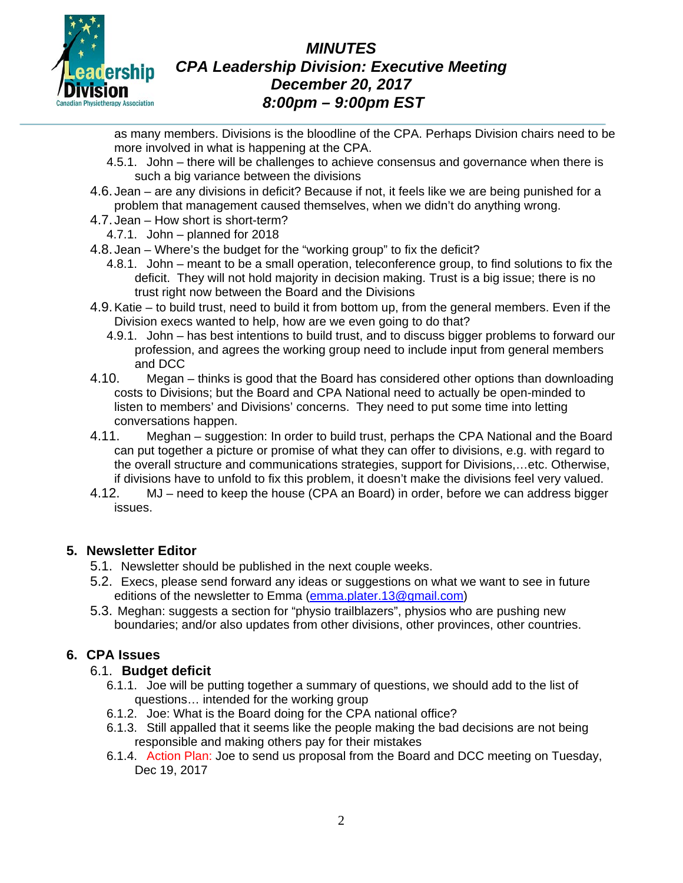

# *MINUTES CPA Leadership Division: Executive Meeting December 20, 2017 8:00pm – 9:00pm EST*

as many members. Divisions is the bloodline of the CPA. Perhaps Division chairs need to be more involved in what is happening at the CPA.

- 4.5.1. John there will be challenges to achieve consensus and governance when there is such a big variance between the divisions
- 4.6. Jean are any divisions in deficit? Because if not, it feels like we are being punished for a problem that management caused themselves, when we didn't do anything wrong.
- 4.7. Jean How short is short-term?
	- 4.7.1. John planned for 2018
- 4.8. Jean Where's the budget for the "working group" to fix the deficit?
	- 4.8.1. John meant to be a small operation, teleconference group, to find solutions to fix the deficit. They will not hold majority in decision making. Trust is a big issue; there is no trust right now between the Board and the Divisions
- 4.9.Katie to build trust, need to build it from bottom up, from the general members. Even if the Division execs wanted to help, how are we even going to do that?
	- 4.9.1. John has best intentions to build trust, and to discuss bigger problems to forward our profession, and agrees the working group need to include input from general members and DCC
- 4.10. Megan thinks is good that the Board has considered other options than downloading costs to Divisions; but the Board and CPA National need to actually be open-minded to listen to members' and Divisions' concerns. They need to put some time into letting conversations happen.
- 4.11. Meghan suggestion: In order to build trust, perhaps the CPA National and the Board can put together a picture or promise of what they can offer to divisions, e.g. with regard to the overall structure and communications strategies, support for Divisions,…etc. Otherwise, if divisions have to unfold to fix this problem, it doesn't make the divisions feel very valued.
- 4.12. MJ need to keep the house (CPA an Board) in order, before we can address bigger issues.

#### **5. Newsletter Editor**

- 5.1. Newsletter should be published in the next couple weeks.
- 5.2. Execs, please send forward any ideas or suggestions on what we want to see in future editions of the newsletter to Emma [\(emma.plater.13@gmail.com\)](mailto:emma.plater.13@gmail.com)
- 5.3. Meghan: suggests a section for "physio trailblazers", physios who are pushing new boundaries; and/or also updates from other divisions, other provinces, other countries.

# **6. CPA Issues**

# 6.1. **Budget deficit**

- 6.1.1. Joe will be putting together a summary of questions, we should add to the list of questions… intended for the working group
- 6.1.2. Joe: What is the Board doing for the CPA national office?
- 6.1.3. Still appalled that it seems like the people making the bad decisions are not being responsible and making others pay for their mistakes
- 6.1.4. Action Plan: Joe to send us proposal from the Board and DCC meeting on Tuesday, Dec 19, 2017